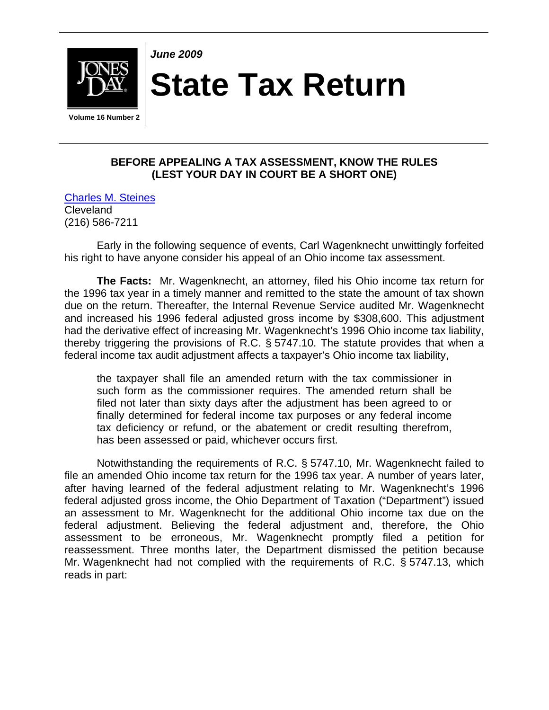

*June 2009* 

**State Tax Return** 

 **Volume 16 Number 2** 

## **BEFORE APPEALING A TAX ASSESSMENT, KNOW THE RULES (LEST YOUR DAY IN COURT BE A SHORT ONE)**

[Charles M. Steines](http://www.jonesday.com/cmsteines/) Cleveland (216) 586-7211

Early in the following sequence of events, Carl Wagenknecht unwittingly forfeited his right to have anyone consider his appeal of an Ohio income tax assessment.

**The Facts:** Mr. Wagenknecht, an attorney, filed his Ohio income tax return for the 1996 tax year in a timely manner and remitted to the state the amount of tax shown due on the return. Thereafter, the Internal Revenue Service audited Mr. Wagenknecht and increased his 1996 federal adjusted gross income by \$308,600. This adjustment had the derivative effect of increasing Mr. Wagenknecht's 1996 Ohio income tax liability, thereby triggering the provisions of R.C. § 5747.10. The statute provides that when a federal income tax audit adjustment affects a taxpayer's Ohio income tax liability,

the taxpayer shall file an amended return with the tax commissioner in such form as the commissioner requires. The amended return shall be filed not later than sixty days after the adjustment has been agreed to or finally determined for federal income tax purposes or any federal income tax deficiency or refund, or the abatement or credit resulting therefrom, has been assessed or paid, whichever occurs first.

Notwithstanding the requirements of R.C. § 5747.10, Mr. Wagenknecht failed to file an amended Ohio income tax return for the 1996 tax year. A number of years later, after having learned of the federal adjustment relating to Mr. Wagenknecht's 1996 federal adjusted gross income, the Ohio Department of Taxation ("Department") issued an assessment to Mr. Wagenknecht for the additional Ohio income tax due on the federal adjustment. Believing the federal adjustment and, therefore, the Ohio assessment to be erroneous, Mr. Wagenknecht promptly filed a petition for reassessment. Three months later, the Department dismissed the petition because Mr. Wagenknecht had not complied with the requirements of R.C. § 5747.13, which reads in part: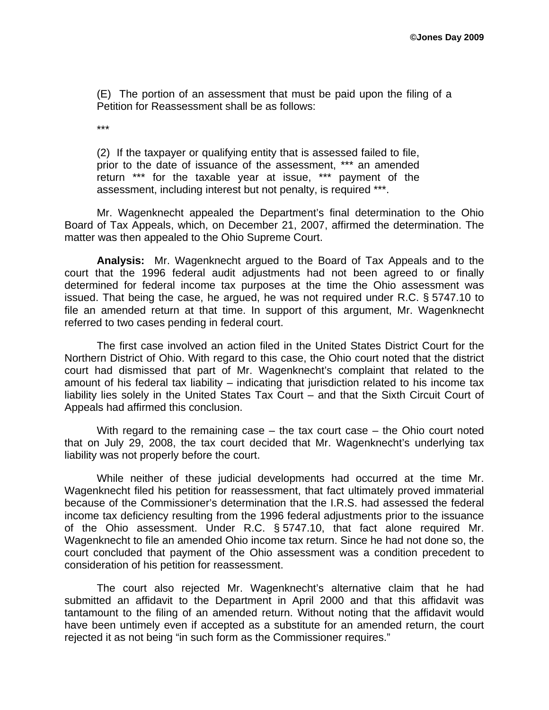(E) The portion of an assessment that must be paid upon the filing of a Petition for Reassessment shall be as follows:

\*\*\*

(2) If the taxpayer or qualifying entity that is assessed failed to file, prior to the date of issuance of the assessment, \*\*\* an amended return \*\*\* for the taxable year at issue, \*\*\* payment of the assessment, including interest but not penalty, is required \*\*\*.

Mr. Wagenknecht appealed the Department's final determination to the Ohio Board of Tax Appeals, which, on December 21, 2007, affirmed the determination. The matter was then appealed to the Ohio Supreme Court.

**Analysis:** Mr. Wagenknecht argued to the Board of Tax Appeals and to the court that the 1996 federal audit adjustments had not been agreed to or finally determined for federal income tax purposes at the time the Ohio assessment was issued. That being the case, he argued, he was not required under R.C. § 5747.10 to file an amended return at that time. In support of this argument, Mr. Wagenknecht referred to two cases pending in federal court.

The first case involved an action filed in the United States District Court for the Northern District of Ohio. With regard to this case, the Ohio court noted that the district court had dismissed that part of Mr. Wagenknecht's complaint that related to the amount of his federal tax liability – indicating that jurisdiction related to his income tax liability lies solely in the United States Tax Court – and that the Sixth Circuit Court of Appeals had affirmed this conclusion.

With regard to the remaining case – the tax court case – the Ohio court noted that on July 29, 2008, the tax court decided that Mr. Wagenknecht's underlying tax liability was not properly before the court.

While neither of these judicial developments had occurred at the time Mr. Wagenknecht filed his petition for reassessment, that fact ultimately proved immaterial because of the Commissioner's determination that the I.R.S. had assessed the federal income tax deficiency resulting from the 1996 federal adjustments prior to the issuance of the Ohio assessment. Under R.C. § 5747.10, that fact alone required Mr. Wagenknecht to file an amended Ohio income tax return. Since he had not done so, the court concluded that payment of the Ohio assessment was a condition precedent to consideration of his petition for reassessment.

The court also rejected Mr. Wagenknecht's alternative claim that he had submitted an affidavit to the Department in April 2000 and that this affidavit was tantamount to the filing of an amended return. Without noting that the affidavit would have been untimely even if accepted as a substitute for an amended return, the court rejected it as not being "in such form as the Commissioner requires."